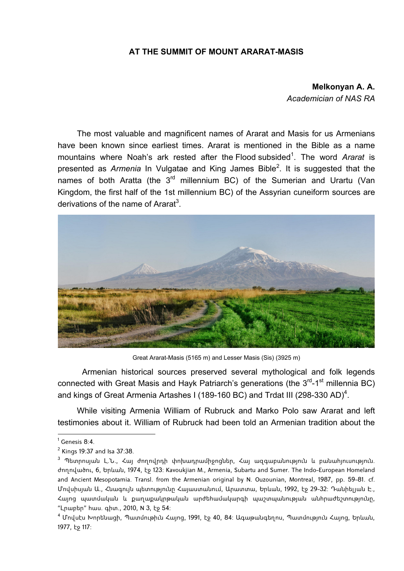## **AT THE SUMMIT OF MOUNT ARARAT-MASIS**

## **Melkonyan A. A.** *Academician of NAS RA*

The most valuable and magnificent names of Ararat and Masis for us Armenians have been known since earliest times. Ararat is mentioned in the Bible as a name mountains where Noah's ark rested after the Flood subsided<sup>1</sup>. The word Ararat is presented as *Armenia* In Vulgatae and King James Bible<sup>2</sup>. It is suggested that the names of both Aratta (the  $3<sup>rd</sup>$  millennium BC) of the Sumerian and Urartu (Van Kingdom, the first half of the 1st millennium BC) of the Assyrian cuneiform sources are derivations of the name of Ararat<sup>3</sup>.



Great Ararat-Masis (5165 m) and Lesser Masis (Sis) (3925 m)

Armenian historical sources preserved several mythological and folk legends connected with Great Masis and Hayk Patriarch's generations (the  $3<sup>rd</sup>-1<sup>st</sup>$  millennia BC) and kings of Great Armenia Artashes I (189-160 BC) and Trdat III (298-330 AD)<sup>4</sup>.

While visiting Armenia William of Rubruck and Marko Polo saw Ararat and left testimonies about it. William of Rubruck had been told an Armenian tradition about the

 $\overline{\phantom{a}1}$  Genesis 8:4.

 $^2$  Kings 19:37 and Isa 37:38.

<sup>&</sup>lt;sup>3</sup> Պետրոսյան Լ.Ն., Հայ ժողովրդի փոխադրամիջոցներ, Հայ ազգաբանություն և բանահյուսություն. ժողովածու, 6, Երևան, 1974, էջ 123: Kavoukjian M., Armenia, Subartu and Sumer. The Indo-European Homeland and Ancient Mesopotamia. Transl. from the Armenian original by N. Ouzounian, Montreal, 1987, pp. 59-81. cf. Մովսիսյան Ա., Հնագույն պետությունը Հայաստանում, Արատտա, Երևան, 1992, էջ 29-32: Դանիելյան Է., Հայոց պատմական և քաղաքակրթական արժեհամակարգի պաշտպանության անհրաժեշտությունը, "Լրաբեր" հաս. գիտ., 2010, N 3, էջ 54:

<sup>4</sup> Մովսէս Խորենացի, Պատմութիւն Հայոց, 1991, էջ 40, 84: Ագաթանգեղոս, Պատմություն Հայոց, Երևան, 1977, էջ 117: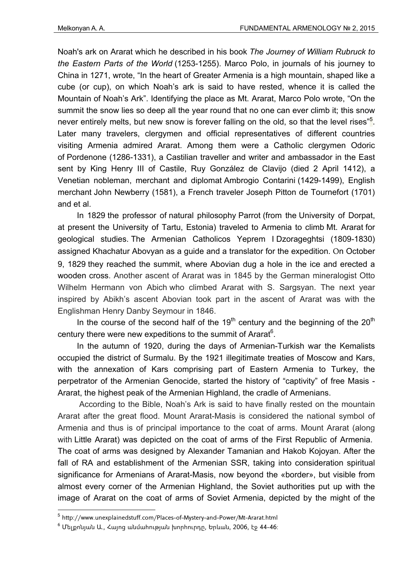Noah's ark on Ararat which he described in his book *The Journey of William Rubruck to the Eastern Parts of the World* (1253-1255). Marco Polo, in journals of his journey to China in 1271, wrote, "In the heart of Greater Armenia is a high mountain, shaped like a cube (or cup), on which Noah's ark is said to have rested, whence it is called the Mountain of Noah's Ark". Identifying the place as Mt. Ararat, Marco Polo wrote, "On the summit the snow lies so deep all the year round that no one can ever climb it; this snow never entirely melts, but new snow is forever falling on the old, so that the level rises"<sup>5</sup>. Later many travelers, clergymen and official representatives of different countries visiting Armenia admired Ararat. Among them were a Catholic clergymen Odoric of Pordenone (1286-1331), a Castilian traveller and writer and ambassador in the East sent by King Henry III of Castile, Ruy González de Clavijo (died 2 April 1412), a Venetian nobleman, merchant and diplomat Ambrogio Contarini (1429-1499), English merchant John Newberry (1581), a French traveler Joseph Pitton de Tournefort (1701) and et al.

In 1829 the professor of natural philosophy Parrot (from the University of Dorpat, at present the University of Tartu, Estonia) traveled to Armenia to climb Mt. Ararat for geological studies. The Armenian Catholicos Yeprem I Dzorageghtsi (1809-1830) assigned Khachatur Abovyan as a guide and a translator for the expedition. Օn October 9, 1829 they reached the summit, where Abovian dug a hole in the ice and erected a wooden cross. Another ascent of Ararat was in 1845 by the German mineralogist Otto Wilhelm Hermann von Abich who climbed Ararat with S. Sargsyan. The next year inspired by Abikh's ascent Abovian took part in the ascent of Ararat was with the Englishman Henry Danby Seymour in 1846.

In the course of the second half of the 19<sup>th</sup> century and the beginning of the 20<sup>th</sup> century there were new expeditions to the summit of Ararat $6$ .

In the autumn of 1920, during the days of Armenian-Turkish war the Kemalists occupied the district of Surmalu. By the 1921 illegitimate treaties of Moscow and Kars, with the annexation of Kars comprising part of Eastern Armenia to Turkey, the perpetrator of the Armenian Genocide, started the history of "captivity" of free Masis - Ararat, the highest peak of the Armenian Highland, the cradle of Armenians.

 According to the Bible, Noah's Ark is said to have finally rested on the mountain Ararat after the great flood. Mount Ararat-Masis is considered the national symbol of Armenia and thus is of principal importance to the coat of arms. Mount Ararat (along with Little Ararat) was depicted on the coat of arms of the First Republic of Armenia. The coat of arms was designed by Alexander Tamanian and Hakob Kojoyan. After the fall of RA and establishment of the Armenian SSR, taking into consideration spiritual significance for Armenians of Ararat-Masis, now beyond the «border», but visible from almost every corner of the Armenian Highland, the Soviet authorities put up with the image of Ararat on the coat of arms of Soviet Armenia, depicted by the might of the

 5 http://www.unexplainedstuff.com/Places-of-Mystery-and-Power/Mt-Ararat.html

<sup>&</sup>lt;sup>6</sup> Մելքոնյան Ա., Հայոց անմահության խորհուրդը, Երևան, 2006, էջ 44-46։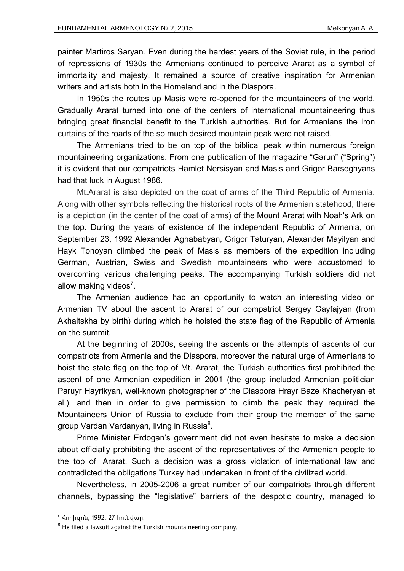painter Martiros Saryan. Even during the hardest years of the Soviet rule, in the period of repressions of 1930s the Armenians continued to perceive Ararat as a symbol of immortality and majesty. It remained a source of creative inspiration for Armenian writers and artists both in the Homeland and in the Diaspora.

In 1950s the routes up Masis were re-opened for the mountaineers of the world. Gradually Ararat turned into one of the centers of international mountaineering thus bringing great financial benefit to the Turkish authorities. But for Armenians the iron curtains of the roads of the so much desired mountain peak were not raised.

The Armenians tried to be on top of the biblical peak within numerous foreign mountaineering organizations. From one publication of the magazine "Garun" ("Spring") it is evident that our compatriots Hamlet Nersisyan and Masis and Grigor Barseghyans had that luck in August 1986.

Mt.Ararat is also depicted on the coat of arms of the Third Republic of Armenia. Along with other symbols reflecting the historical roots of the Armenian statehood, there is a depiction (in the center of the coat of arms) of the Mount Ararat with Noah's Ark on the top. During the years of existence of the independent Republic of Armenia, on September 23, 1992 Alexander Aghababyan, Grigor Taturyan, Alexander Mayilyan and Hayk Tonoyan climbed the peak of Masis as members of the expedition including German, Austrian, Swiss and Swedish mountaineers who were accustomed to overcoming various challenging peaks. The accompanying Turkish soldiers did not allow making videos<sup>7</sup>.

The Armenian audience had an opportunity to watch an interesting video on Armenian TV about the ascent to Ararat of our compatriot Sergey Gayfajyan (from Akhaltskha by birth) during which he hoisted the state flag of the Republic of Armenia on the summit.

At the beginning of 2000s, seeing the ascents or the attempts of ascents of our compatriots from Armenia and the Diaspora, moreover the natural urge of Armenians to hoist the state flag on the top of Mt. Ararat, the Turkish authorities first prohibited the ascent of one Armenian expedition in 2001 (the group included Armenian politician Paruyr Hayrikyan, well-known photographer of the Diaspora Hrayr Baze Khacheryan et al.), and then in order to give permission to climb the peak they required the Mountaineers Union of Russia to exclude from their group the member of the same group Vardan Vardanyan, living in Russia<sup>8</sup>.

Prime Minister Erdogan's government did not even hesitate to make a decision about officially prohibiting the ascent of the representatives of the Armenian people to the top of Ararat. Such a decision was a gross violation of international law and contradicted the obligations Turkey had undertaken in front of the civilized world.

Nevertheless, in 2005-2006 a great number of our compatriots through different channels, bypassing the "legislative" barriers of the despotic country, managed to

 7 Հորիզոն, 1992, 27 հունվար:

 $^8$  He filed a lawsuit against the Turkish mountaineering company.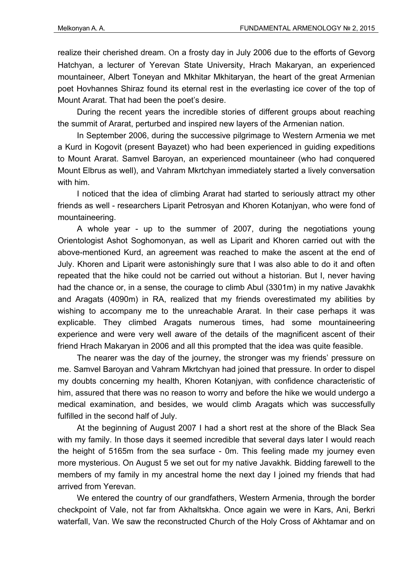realize their cherished dream. Օn a frosty day in July 2006 due to the efforts of Gevorg Hatchyan, a lecturer of Yerevan State University, Hrach Makaryan, an experienced mountaineer, Albert Toneyan and Mkhitar Mkhitaryan, the heart of the great Armenian poet Hovhannes Shiraz found its eternal rest in the everlasting ice cover of the top of Mount Ararat. That had been the poet's desire.

During the recent years the incredible stories of different groups about reaching the summit of Ararat, perturbed and inspired new layers of the Armenian nation.

In September 2006, during the successive pilgrimage to Western Armenia we met a Kurd in Kogovit (present Bayazet) who had been experienced in guiding expeditions to Mount Ararat. Samvel Baroyan, an experienced mountaineer (who had conquered Mount Elbrus as well), and Vahram Mkrtchyan immediately started a lively conversation with him.

I noticed that the idea of climbing Ararat had started to seriously attract my other friends as well - researchers Liparit Petrosyan and Khoren Kotanjyan, who were fond of mountaineering.

A whole year - up to the summer of 2007, during the negotiations young Orientologist Ashot Soghomonyan, as well as Liparit and Khoren carried out with the above-mentioned Kurd, an agreement was reached to make the ascent at the end of July. Khoren and Liparit were astonishingly sure that I was also able to do it and often repeated that the hike could not be carried out without a historian. But I, never having had the chance or, in a sense, the courage to climb Abul (3301m) in my native Javakhk and Aragats (4090m) in RA, realized that my friends overestimated my abilities by wishing to accompany me to the unreachable Ararat. In their case perhaps it was explicable. They climbed Aragats numerous times, had some mountaineering experience and were very well aware of the details of the magnificent ascent of their friend Hrach Makaryan in 2006 and all this prompted that the idea was quite feasible.

The nearer was the day of the journey, the stronger was my friends' pressure on me. Samvel Baroyan and Vahram Mkrtchyan had joined that pressure. In order to dispel my doubts concerning my health, Khoren Kotanjyan, with confidence characteristic of him, assured that there was no reason to worry and before the hike we would undergo a medical examination, and besides, we would climb Aragats which was successfully fulfilled in the second half of July.

At the beginning of August 2007 I had a short rest at the shore of the Black Sea with my family. In those days it seemed incredible that several days later I would reach the height of 5165m from the sea surface - 0m. This feeling made my journey even more mysterious. On August 5 we set out for my native Javakhk. Bidding farewell to the members of my family in my ancestral home the next day I joined my friends that had arrived from Yerevan.

We entered the country of our grandfathers, Western Armenia, through the border checkpoint of Vale, not far from Akhaltskha. Once again we were in Kars, Ani, Berkri waterfall, Van. We saw the reconstructed Church of the Holy Cross of Akhtamar and on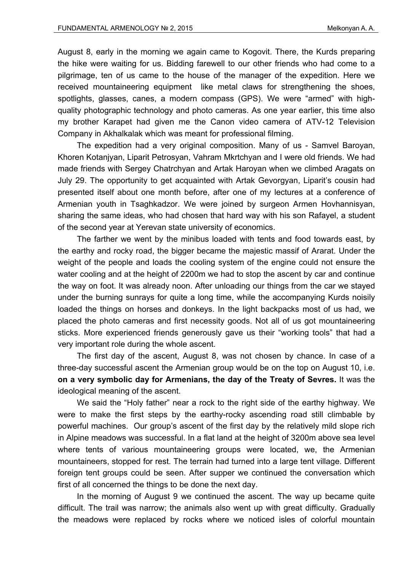August 8, early in the morning we again came to Kogovit. There, the Kurds preparing the hike were waiting for us. Bidding farewell to our other friends who had come to a pilgrimage, ten of us came to the house of the manager of the expedition. Here we received mountaineering equipment like metal claws for strengthening the shoes, spotlights, glasses, canes, a modern compass (GPS). We were "armed" with highquality photographic technology and photo cameras. As one year earlier, this time also my brother Karapet had given me the Canon video camera of ATV-12 Television Company in Akhalkalak which was meant for professional filming.

The expedition had a very original composition. Many of us - Samvel Baroyan, Khoren Kotanjyan, Liparit Petrosyan, Vahram Mkrtchyan and I were old friends. We had made friends with Sergey Chatrchyan and Artak Haroyan when we climbed Aragats on July 29. The opportunity to get acquainted with Artak Gevorgyan, Liparit's cousin had presented itself about one month before, after one of my lectures at a conference of Armenian youth in Tsaghkadzor. We were joined by surgeon Armen Hovhannisyan, sharing the same ideas, who had chosen that hard way with his son Rafayel, a student of the second year at Yerevan state university of economics.

The farther we went by the minibus loaded with tents and food towards east, by the earthy and rocky road, the bigger became the majestic massif of Ararat. Under the weight of the people and loads the cooling system of the engine could not ensure the water cooling and at the height of 2200m we had to stop the ascent by car and continue the way on foot. It was already noon. After unloading our things from the car we stayed under the burning sunrays for quite a long time, while the accompanying Kurds noisily loaded the things on horses and donkeys. In the light backpacks most of us had, we placed the photo cameras and first necessity goods. Not all of us got mountaineering sticks. More experienced friends generously gave us their "working tools" that had a very important role during the whole ascent.

The first day of the ascent, August 8, was not chosen by chance. In case of a three-day successful ascent the Armenian group would be on the top on August 10, i.e. **on a very symbolic day for Armenians, the day of the Treaty of Sevres.** It was the ideological meaning of the ascent.

We said the "Holy father" near a rock to the right side of the earthy highway. We were to make the first steps by the earthy-rocky ascending road still climbable by powerful machines. Our group's ascent of the first day by the relatively mild slope rich in Alpine meadows was successful. In a flat land at the height of 3200m above sea level where tents of various mountaineering groups were located, we, the Armenian mountaineers, stopped for rest. The terrain had turned into a large tent village. Different foreign tent groups could be seen. After supper we continued the conversation which first of all concerned the things to be done the next day.

In the morning of August 9 we continued the ascent. The way up became quite difficult. The trail was narrow; the animals also went up with great difficulty. Gradually the meadows were replaced by rocks where we noticed isles of colorful mountain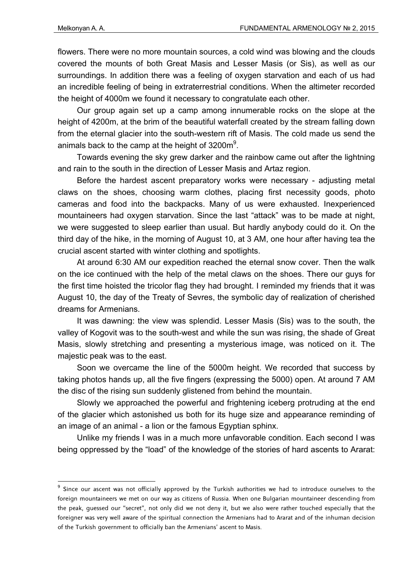**.** 

flowers. There were no more mountain sources, a cold wind was blowing and the clouds covered the mounts of both Great Masis and Lesser Masis (or Sis), as well as our surroundings. In addition there was a feeling of oxygen starvation and each of us had an incredible feeling of being in extraterrestrial conditions. When the altimeter recorded the height of 4000m we found it necessary to congratulate each other.

Our group again set up a camp among innumerable rocks on the slope at the height of 4200m, at the brim of the beautiful waterfall created by the stream falling down from the eternal glacier into the south-western rift of Masis. The cold made us send the animals back to the camp at the height of 3200m<sup>9</sup>.

Towards evening the sky grew darker and the rainbow came out after the lightning and rain to the south in the direction of Lesser Masis and Artaz region.

Before the hardest ascent preparatory works were necessary - adjusting metal claws on the shoes, choosing warm clothes, placing first necessity goods, photo cameras and food into the backpacks. Many of us were exhausted. Inexperienced mountaineers had oxygen starvation. Since the last "attack" was to be made at night, we were suggested to sleep earlier than usual. But hardly anybody could do it. On the third day of the hike, in the morning of August 10, at 3 AM, one hour after having tea the crucial ascent started with winter clothing and spotlights.

At around 6:30 AM our expedition reached the eternal snow cover. Then the walk on the ice continued with the help of the metal claws on the shoes. There our guys for the first time hoisted the tricolor flag they had brought. I reminded my friends that it was August 10, the day of the Treaty of Sevres, the symbolic day of realization of cherished dreams for Armenians.

It was dawning: the view was splendid. Lesser Masis (Sis) was to the south, the valley of Kogovit was to the south-west and while the sun was rising, the shade of Great Masis, slowly stretching and presenting a mysterious image, was noticed on it. The majestic peak was to the east.

Soon we overcame the line of the 5000m height. We recorded that success by taking photos hands up, all the five fingers (expressing the 5000) open. At around 7 AM the disc of the rising sun suddenly glistened from behind the mountain.

Slowly we approached the powerful and frightening iceberg protruding at the end of the glacier which astonished us both for its huge size and appearance reminding of an image of an animal - a lion or the famous Egyptian sphinx.

Unlike my friends I was in a much more unfavorable condition. Each second I was being oppressed by the "load" of the knowledge of the stories of hard ascents to Ararat:

<sup>&</sup>lt;sup>9</sup> Since our ascent was not officially approved by the Turkish authorities we had to introduce ourselves to the foreign mountaineers we met on our way as citizens of Russia. When one Bulgarian mountaineer descending from the peak, guessed our "secret", not only did we not deny it, but we also were rather touched especially that the foreigner was very well aware of the spiritual connection the Armenians had to Ararat and of the inhuman decision of the Turkish government to officially ban the Armenians' ascent to Masis.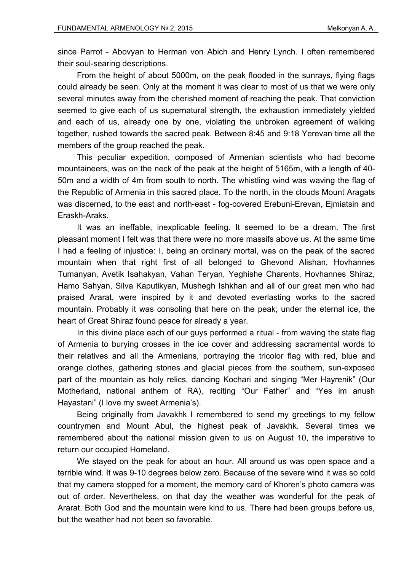since Parrot - Abovyan to Herman von Abich and Henry Lynch. I often remembered their soul-searing descriptions.

From the height of about 5000m, on the peak flooded in the sunrays, flying flags could already be seen. Only at the moment it was clear to most of us that we were only several minutes away from the cherished moment of reaching the peak. That conviction seemed to give each of us supernatural strength, the exhaustion immediately yielded and each of us, already one by one, violating the unbroken agreement of walking together, rushed towards the sacred peak. Between 8:45 and 9:18 Yerevan time all the members of the group reached the peak.

This peculiar expedition, composed of Armenian scientists who had become mountaineers, was on the neck of the peak at the height of 5165m, with a length of 40- 50m and a width of 4m from south to north. The whistling wind was waving the flag of the Republic of Armenia in this sacred place. To the north, in the clouds Mount Aragats was discerned, to the east and north-east - fog-covered Erebuni-Erevan, Ejmiatsin and Eraskh-Araks.

It was an ineffable, inexplicable feeling. It seemed to be a dream. The first pleasant moment I felt was that there were no more massifs above us. At the same time I had a feeling of injustice: I, being an ordinary mortal, was on the peak of the sacred mountain when that right first of all belonged to Ghevond Alishan, Hovhannes Tumanyan, Avetik Isahakyan, Vahan Teryan, Yeghishe Charents, Hovhannes Shiraz, Hamo Sahyan, Silva Kaputikyan, Mushegh Ishkhan and all of our great men who had praised Ararat, were inspired by it and devoted everlasting works to the sacred mountain. Probably it was consoling that here on the peak; under the eternal ice, the heart of Great Shiraz found peace for already a year.

In this divine place each of our guys performed a ritual - from waving the state flag of Armenia to burying crosses in the ice cover and addressing sacramental words to their relatives and all the Armenians, portraying the tricolor flag with red, blue and orange clothes, gathering stones and glacial pieces from the southern, sun-exposed part of the mountain as holy relics, dancing Kochari and singing "Mer Hayrenik" (Our Motherland, national anthem of RA), reciting "Our Father" and "Yes im anush Hayastani" (I love my sweet Armenia's).

Being originally from Javakhk I remembered to send my greetings to my fellow countrymen and Mount Abul, the highest peak of Javakhk. Several times we remembered about the national mission given to us on August 10, the imperative to return our occupied Homeland.

We stayed on the peak for about an hour. All around us was open space and a terrible wind. It was 9-10 degrees below zero. Because of the severe wind it was so cold that my camera stopped for a moment, the memory card of Khoren's photo camera was out of order. Nevertheless, on that day the weather was wonderful for the peak of Ararat. Both God and the mountain were kind to us. There had been groups before us, but the weather had not been so favorable.